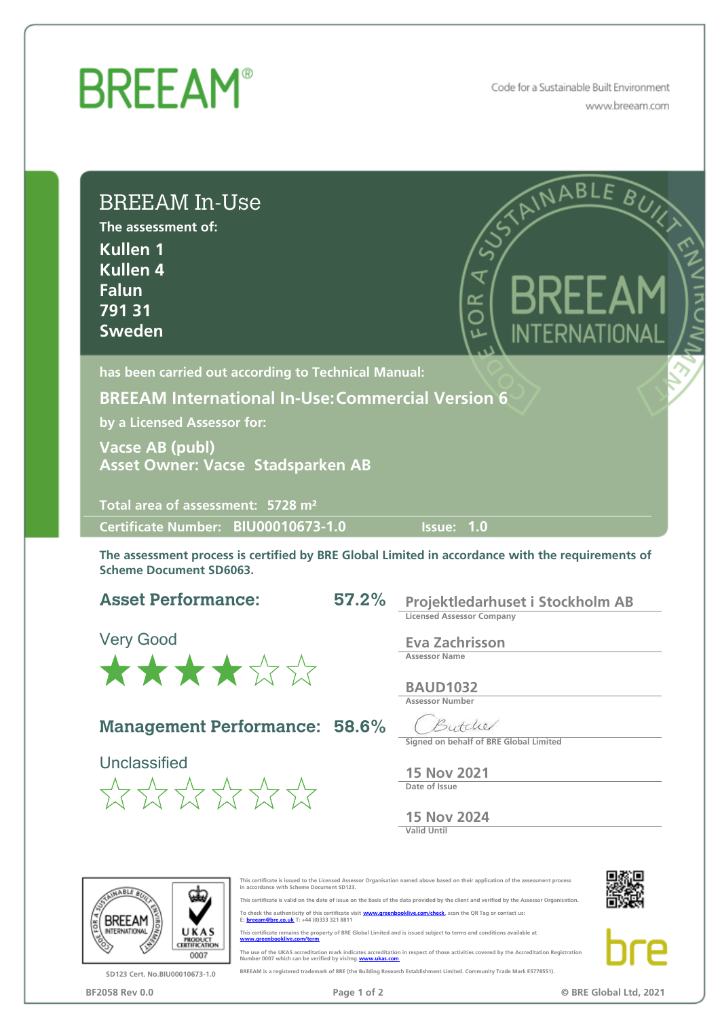## **BREEAM®**

Code for a Sustainable Built Environment www.breeam.com

| <b>BREEAM In-Use</b><br>The assessment of:<br>Kullen 1<br><b>Kullen 4</b><br><b>Falun</b><br>79131<br><b>Sweden</b> |       | SAINABLE BUN<br>$\overline{\mathbf{X}}$<br>∝<br>O                                                                     |
|---------------------------------------------------------------------------------------------------------------------|-------|-----------------------------------------------------------------------------------------------------------------------|
| has been carried out according to Technical Manual:                                                                 |       |                                                                                                                       |
| <b>BREEAM International In-Use: Commercial Version 6</b>                                                            |       |                                                                                                                       |
| by a Licensed Assessor for:                                                                                         |       |                                                                                                                       |
| <b>Vacse AB (publ)</b>                                                                                              |       |                                                                                                                       |
| Asset Owner: Vacse Stadsparken AB                                                                                   |       |                                                                                                                       |
|                                                                                                                     |       |                                                                                                                       |
|                                                                                                                     |       |                                                                                                                       |
| Total area of assessment: 5728 m <sup>2</sup>                                                                       |       |                                                                                                                       |
| Certificate Number: BIU00010673-1.0<br><b>Scheme Document SD6063.</b>                                               |       | <b>Issue: 1.0</b><br>The assessment process is certified by BRE Global Limited in accordance with the requirements of |
| <b>Asset Performance:</b>                                                                                           | 57.2% | Projektledarhuset i Stockholm AB                                                                                      |
|                                                                                                                     |       | <b>Licensed Assessor Company</b>                                                                                      |
| <b>Very Good</b>                                                                                                    |       | <b>Eva Zachrisson</b>                                                                                                 |
|                                                                                                                     |       | <b>Assessor Name</b>                                                                                                  |
| ****                                                                                                                |       | <b>BAUD1032</b><br><b>Assessor Number</b>                                                                             |
|                                                                                                                     |       |                                                                                                                       |
| <b>Management Performance: 58.6%</b>                                                                                |       | Butchel<br>Signed on behalf of BRE Global Limited                                                                     |
| Unclassified                                                                                                        |       |                                                                                                                       |
|                                                                                                                     |       | <b>15 Nov 2021</b><br>Date of Issue                                                                                   |
| $\frac{1}{2}$ $\frac{1}{2}$ $\frac{1}{2}$ $\frac{1}{2}$ $\frac{1}{2}$ $\frac{1}{2}$ $\frac{1}{2}$ $\frac{1}{2}$     |       | <b>15 Nov 2024</b>                                                                                                    |



SD123 Cert. No.BIU00010673-1.0



This certificate is issued to the Licensed Assessor Organisation named above based on their application of the assessment process in accordance with Scheme Document SD123. This certificate is valid on the date of issue on the basis of the data provided by the client and verified by the Assessor Organisation.

The use of the UKAS accreditation mark indicates accreditation in respect of those activities covered by the Accreditation Registration<br>Number 0007 which can be verified by visitng **www.ukas.com** BREEAM is a registered trademark of BRE (the Building Research Establishment Limited. Community Trade Mark E5778551).

To check the authenticity of this certificate visit www.greenbooklive.com/check, scan the QR Tag or contact us:<br>E: breeam@bre.co.uk T: +44 (0)333 321 8811 This certificate remains the property of BRE Global Limited and is issued subject to terms and conditions available at www.greenbooklive.com/term

BF2058 Rev 0.0 **Page 1 of 2** Page 1 of 2 **Page 1 of 2 C** BRE Global Ltd, 2021

Þ